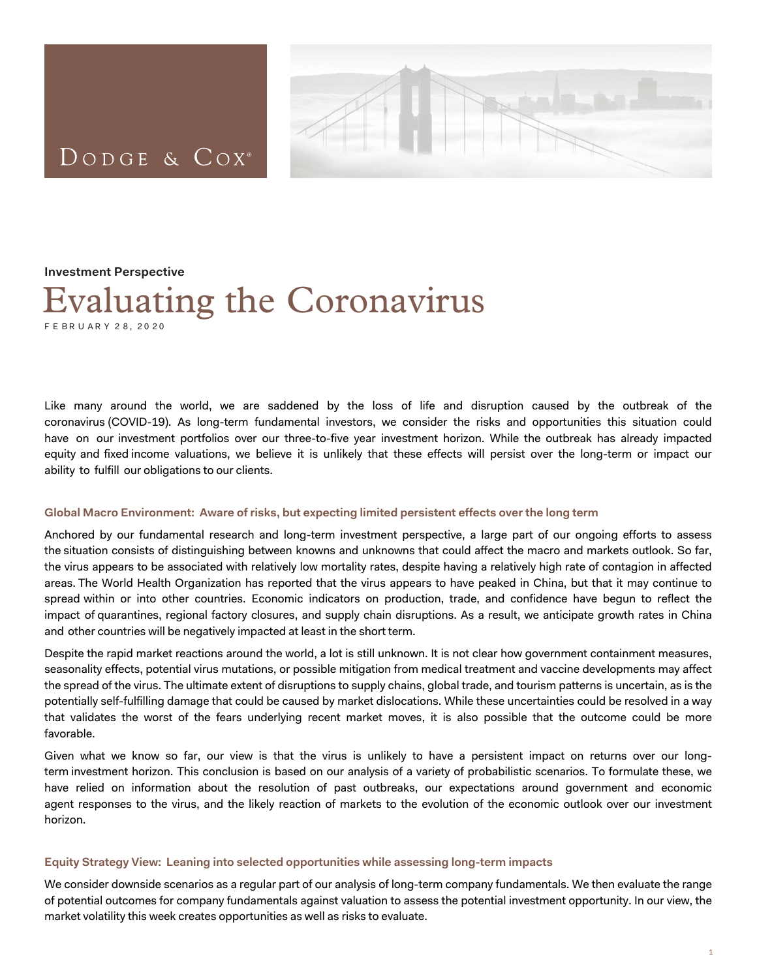# DODGE & COX<sup>®</sup>



#### **Investment Perspective**

# Evaluating the Coronavirus F E B R U A R Y 2 8, 20 20

Like many around the world, we are saddened by the loss of life and disruption caused by the outbreak of the coronavirus (COVID-19). As long-term fundamental investors, we consider the risks and opportunities this situation could have on our investment portfolios over our three-to-five year investment horizon. While the outbreak has already impacted equity and fixed income valuations, we believe it is unlikely that these effects will persist over the long-term or impact our ability to fulfill our obligations to our clients.

#### **Global Macro Environment: Aware of risks, but expecting limited persistent effects over the long term**

Anchored by our fundamental research and long-term investment perspective, a large part of our ongoing efforts to assess the situation consists of distinguishing between knowns and unknowns that could affect the macro and markets outlook. So far, the virus appears to be associated with relatively low mortality rates, despite having a relatively high rate of contagion in affected areas. The World Health Organization has reported that the virus appears to have peaked in China, but that it may continue to spread within or into other countries. Economic indicators on production, trade, and confidence have begun to reflect the impact of quarantines, regional factory closures, and supply chain disruptions. As a result, we anticipate growth rates in China and other countries will be negatively impacted at least in the short term.

Despite the rapid market reactions around the world, a lot is still unknown. It is not clear how government containment measures, seasonality effects, potential virus mutations, or possible mitigation from medical treatment and vaccine developments may affect the spread of the virus. The ultimate extent of disruptions to supply chains, global trade, and tourism patterns is uncertain, as is the potentially self-fulfilling damage that could be caused by market dislocations. While these uncertainties could be resolved in a way that validates the worst of the fears underlying recent market moves, it is also possible that the outcome could be more favorable.

Given what we know so far, our view is that the virus is unlikely to have a persistent impact on returns over our longterm investment horizon. This conclusion is based on our analysis of a variety of probabilistic scenarios. To formulate these, we have relied on information about the resolution of past outbreaks, our expectations around government and economic agent responses to the virus, and the likely reaction of markets to the evolution of the economic outlook over our investment horizon.

#### **Equity Strategy View: Leaning into selected opportunities while assessing long-term impacts**

We consider downside scenarios as a regular part of our analysis of long-term company fundamentals. We then evaluate the range of potential outcomes for company fundamentals against valuation to assess the potential investment opportunity. In our view, the market volatility this week creates opportunities as well as risks to evaluate.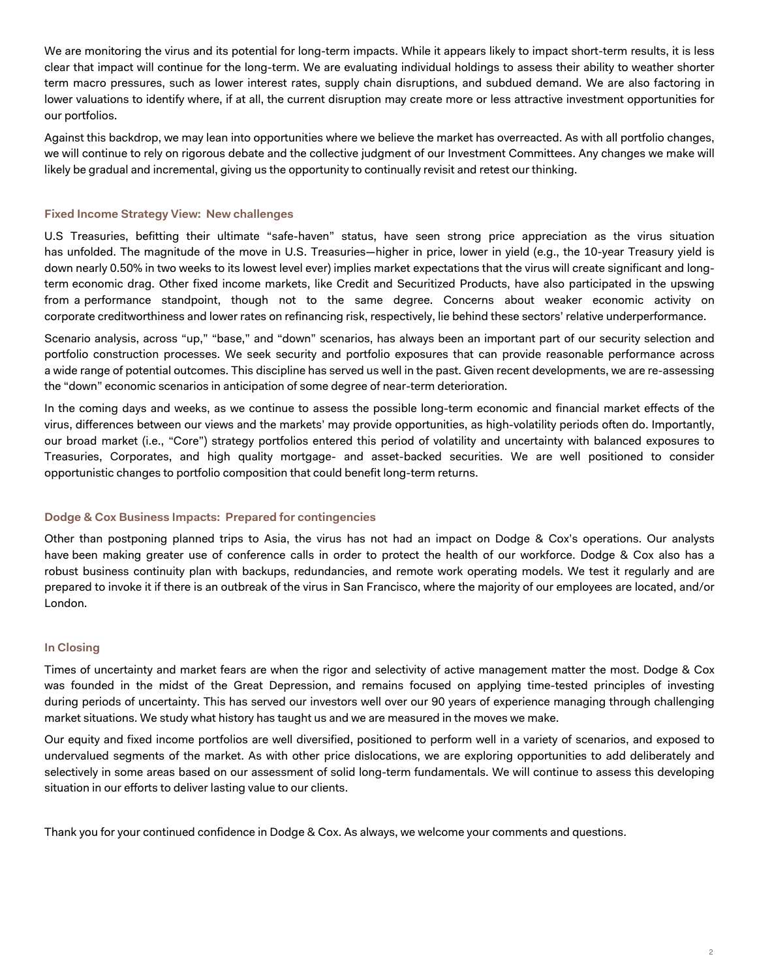We are monitoring the virus and its potential for long-term impacts. While it appears likely to impact short-term results, it is less clear that impact will continue for the long-term. We are evaluating individual holdings to assess their ability to weather shorter term macro pressures, such as lower interest rates, supply chain disruptions, and subdued demand. We are also factoring in lower valuations to identify where, if at all, the current disruption may create more or less attractive investment opportunities for our portfolios.

Against this backdrop, we may lean into opportunities where we believe the market has overreacted. As with all portfolio changes, we will continue to rely on rigorous debate and the collective judgment of our Investment Committees. Any changes we make will likely be gradual and incremental, giving us the opportunity to continually revisit and retest our thinking.

# **Fixed Income Strategy View: New challenges**

U.S Treasuries, befitting their ultimate "safe-haven" status, have seen strong price appreciation as the virus situation has unfolded. The magnitude of the move in U.S. Treasuries—higher in price, lower in yield (e.g., the 10-year Treasury yield is down nearly 0.50% in two weeks to its lowest level ever) implies market expectations that the virus will create significant and longterm economic drag. Other fixed income markets, like Credit and Securitized Products, have also participated in the upswing from a performance standpoint, though not to the same degree. Concerns about weaker economic activity on corporate creditworthiness and lower rates on refinancing risk, respectively, lie behind these sectors' relative underperformance.

Scenario analysis, across "up," "base," and "down" scenarios, has always been an important part of our security selection and portfolio construction processes. We seek security and portfolio exposures that can provide reasonable performance across a wide range of potential outcomes. This discipline has served us well in the past. Given recent developments, we are re-assessing the "down" economic scenarios in anticipation of some degree of near-term deterioration.

In the coming days and weeks, as we continue to assess the possible long-term economic and financial market effects of the virus, differences between our views and the markets' may provide opportunities, as high-volatility periods often do. Importantly, our broad market (i.e., "Core") strategy portfolios entered this period of volatility and uncertainty with balanced exposures to Treasuries, Corporates, and high quality mortgage- and asset-backed securities. We are well positioned to consider opportunistic changes to portfolio composition that could benefit long-term returns.

## **Dodge & Cox Business Impacts: Prepared for contingencies**

Other than postponing planned trips to Asia, the virus has not had an impact on Dodge & Cox's operations. Our analysts have been making greater use of conference calls in order to protect the health of our workforce. Dodge & Cox also has a robust business continuity plan with backups, redundancies, and remote work operating models. We test it regularly and are prepared to invoke it if there is an outbreak of the virus in San Francisco, where the majority of our employees are located, and/or London.

## **In Closing**

Times of uncertainty and market fears are when the rigor and selectivity of active management matter the most. Dodge & Cox was founded in the midst of the Great Depression, and remains focused on applying time-tested principles of investing during periods of uncertainty. This has served our investors well over our 90 years of experience managing through challenging market situations. We study what history has taught us and we are measured in the moves we make.

Our equity and fixed income portfolios are well diversified, positioned to perform well in a variety of scenarios, and exposed to undervalued segments of the market. As with other price dislocations, we are exploring opportunities to add deliberately and selectively in some areas based on our assessment of solid long-term fundamentals. We will continue to assess this developing situation in our efforts to deliver lasting value to our clients.

Thank you for your continued confidence in Dodge & Cox. As always, we welcome your comments and questions.